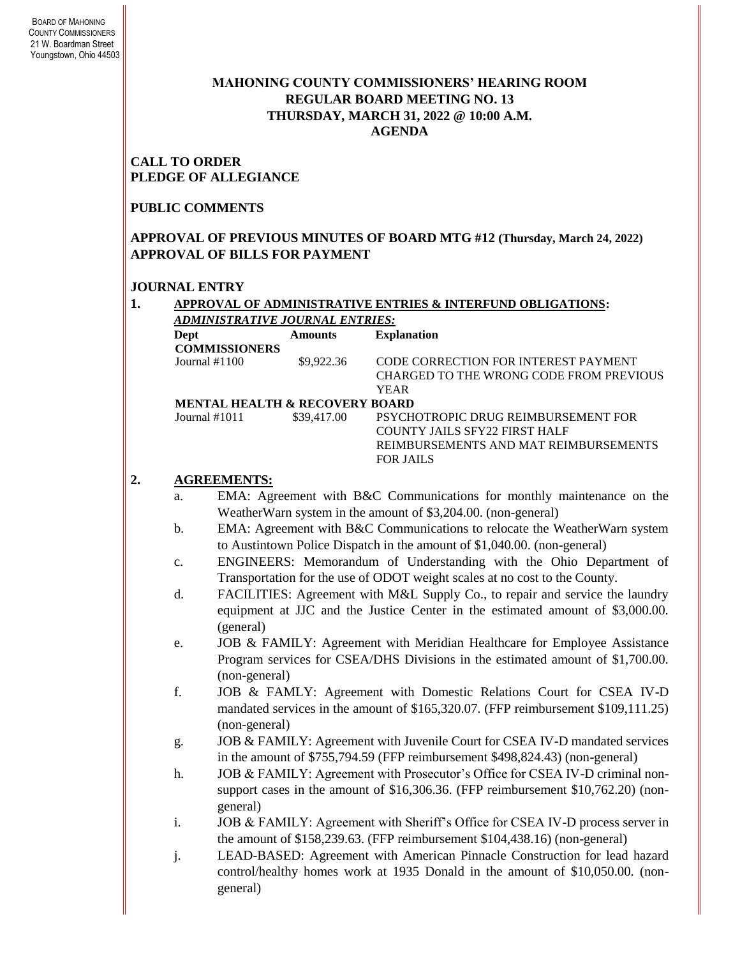### **MAHONING COUNTY COMMISSIONERS' HEARING ROOM REGULAR BOARD MEETING NO. 13 THURSDAY***,* **MARCH 31, 2022 @ 10:00 A.M. AGENDA**

**CALL TO ORDER PLEDGE OF ALLEGIANCE**

#### **PUBLIC COMMENTS**

### **APPROVAL OF PREVIOUS MINUTES OF BOARD MTG #12 (Thursday, March 24, 2022) APPROVAL OF BILLS FOR PAYMENT**

#### **JOURNAL ENTRY**

**1. APPROVAL OF ADMINISTRATIVE ENTRIES & INTERFUND OBLIGATIONS:**  *ADMINISTRATIVE JOURNAL ENTRIES:*

| Dept                 | Amounts                                   | <b>Explanation</b>                      |
|----------------------|-------------------------------------------|-----------------------------------------|
| <b>COMMISSIONERS</b> |                                           |                                         |
| Journal $#1100$      | \$9,922.36                                | CODE CORRECTION FOR INTEREST PAYMENT    |
|                      |                                           | CHARGED TO THE WRONG CODE FROM PREVIOUS |
|                      |                                           | <b>YEAR</b>                             |
|                      | <b>MENTAL HEALTH &amp; RECOVERY BOARD</b> |                                         |
| Journal $\#1011$     | \$39,417.00                               | PSYCHOTROPIC DRUG REIMBURSEMENT FOR     |
|                      |                                           | COUNTY JAILS SFY22 FIRST HALF           |
|                      |                                           | REIMBURSEMENTS AND MAT REIMBURSEMENTS   |
|                      |                                           | FOR JAILS                               |
|                      |                                           |                                         |

## **2. AGREEMENTS:**

- a. EMA: Agreement with B&C Communications for monthly maintenance on the WeatherWarn system in the amount of \$3,204.00. (non-general)
- b. EMA: Agreement with B&C Communications to relocate the WeatherWarn system to Austintown Police Dispatch in the amount of \$1,040.00. (non-general)
- c. ENGINEERS: Memorandum of Understanding with the Ohio Department of Transportation for the use of ODOT weight scales at no cost to the County.
- d. FACILITIES: Agreement with M&L Supply Co., to repair and service the laundry equipment at JJC and the Justice Center in the estimated amount of \$3,000.00. (general)
- e. JOB & FAMILY: Agreement with Meridian Healthcare for Employee Assistance Program services for CSEA/DHS Divisions in the estimated amount of \$1,700.00. (non-general)
- f. JOB & FAMLY: Agreement with Domestic Relations Court for CSEA IV-D mandated services in the amount of \$165,320.07. (FFP reimbursement \$109,111.25) (non-general)
- g. JOB & FAMILY: Agreement with Juvenile Court for CSEA IV-D mandated services in the amount of \$755,794.59 (FFP reimbursement \$498,824.43) (non-general)
- h. JOB & FAMILY: Agreement with Prosecutor's Office for CSEA IV-D criminal nonsupport cases in the amount of \$16,306.36. (FFP reimbursement \$10,762.20) (nongeneral)
- i. JOB & FAMILY: Agreement with Sheriff's Office for CSEA IV-D process server in the amount of \$158,239.63. (FFP reimbursement \$104,438.16) (non-general)
- j. LEAD-BASED: Agreement with American Pinnacle Construction for lead hazard control/healthy homes work at 1935 Donald in the amount of \$10,050.00. (nongeneral)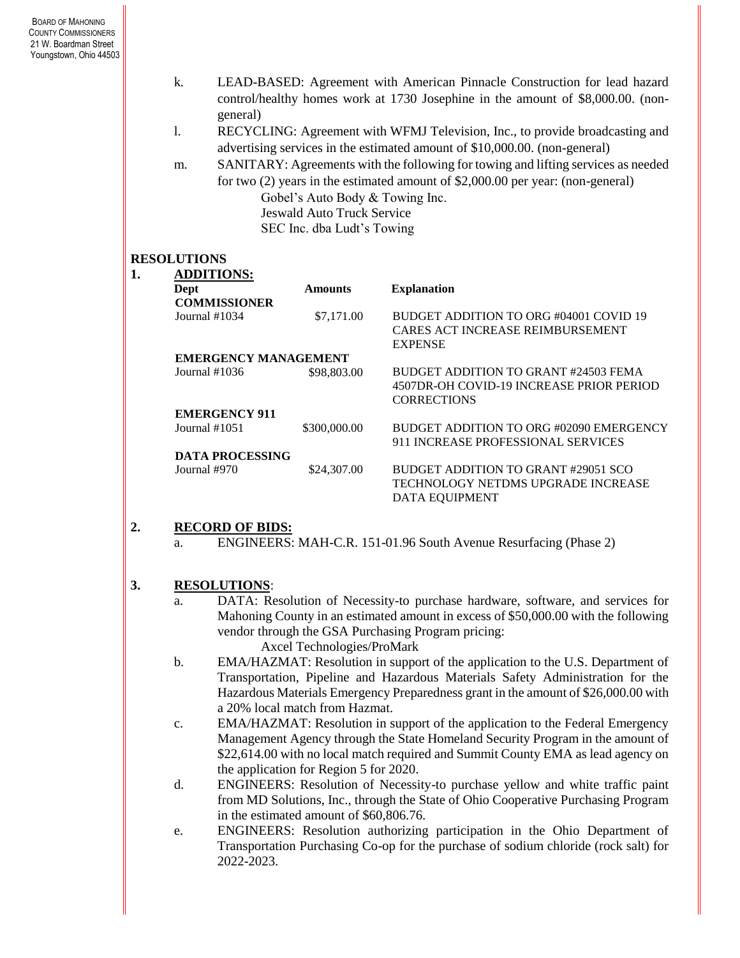- k. LEAD-BASED: Agreement with American Pinnacle Construction for lead hazard control/healthy homes work at 1730 Josephine in the amount of \$8,000.00. (nongeneral)
- l. RECYCLING: Agreement with WFMJ Television, Inc., to provide broadcasting and advertising services in the estimated amount of \$10,000.00. (non-general)
- m. SANITARY: Agreements with the following for towing and lifting services as needed for two (2) years in the estimated amount of \$2,000.00 per year: (non-general) Gobel's Auto Body & Towing Inc. Jeswald Auto Truck Service

SEC Inc. dba Ludt's Towing

### **RESOLUTIONS**

| <b>ADDITIONS:</b>           |                |                                                                                                        |  |  |
|-----------------------------|----------------|--------------------------------------------------------------------------------------------------------|--|--|
| Dept                        | <b>Amounts</b> | <b>Explanation</b>                                                                                     |  |  |
| <b>COMMISSIONER</b>         |                |                                                                                                        |  |  |
| Journal $#1034$             | \$7,171.00     | BUDGET ADDITION TO ORG #04001 COVID 19<br>CARES ACT INCREASE REIMBURSEMENT<br><b>EXPENSE</b>           |  |  |
| <b>EMERGENCY MANAGEMENT</b> |                |                                                                                                        |  |  |
| Journal $\#1036$            | \$98,803.00    | BUDGET ADDITION TO GRANT #24503 FEMA<br>4507DR-OH COVID-19 INCREASE PRIOR PERIOD<br><b>CORRECTIONS</b> |  |  |
| <b>EMERGENCY 911</b>        |                |                                                                                                        |  |  |
| Journal #1051               | \$300,000.00   | BUDGET ADDITION TO ORG #02090 EMERGENCY<br>911 INCREASE PROFESSIONAL SERVICES                          |  |  |
| <b>DATA PROCESSING</b>      |                |                                                                                                        |  |  |
| Journal #970                | \$24,307.00    | BUDGET ADDITION TO GRANT #29051 SCO<br>TECHNOLOGY NETDMS UPGRADE INCREASE<br>DATA EQUIPMENT            |  |  |

### **2. RECORD OF BIDS:**

a. ENGINEERS: MAH-C.R. 151-01.96 South Avenue Resurfacing (Phase 2)

# **3. RESOLUTIONS**:

a. DATA: Resolution of Necessity-to purchase hardware, software, and services for Mahoning County in an estimated amount in excess of \$50,000.00 with the following vendor through the GSA Purchasing Program pricing:

Axcel Technologies/ProMark

- b. EMA/HAZMAT: Resolution in support of the application to the U.S. Department of Transportation, Pipeline and Hazardous Materials Safety Administration for the Hazardous Materials Emergency Preparedness grant in the amount of \$26,000.00 with a 20% local match from Hazmat.
- c. EMA/HAZMAT: Resolution in support of the application to the Federal Emergency Management Agency through the State Homeland Security Program in the amount of \$22,614.00 with no local match required and Summit County EMA as lead agency on the application for Region 5 for 2020.
- d. ENGINEERS: Resolution of Necessity-to purchase yellow and white traffic paint from MD Solutions, Inc., through the State of Ohio Cooperative Purchasing Program in the estimated amount of \$60,806.76.
- e. ENGINEERS: Resolution authorizing participation in the Ohio Department of Transportation Purchasing Co-op for the purchase of sodium chloride (rock salt) for 2022-2023.